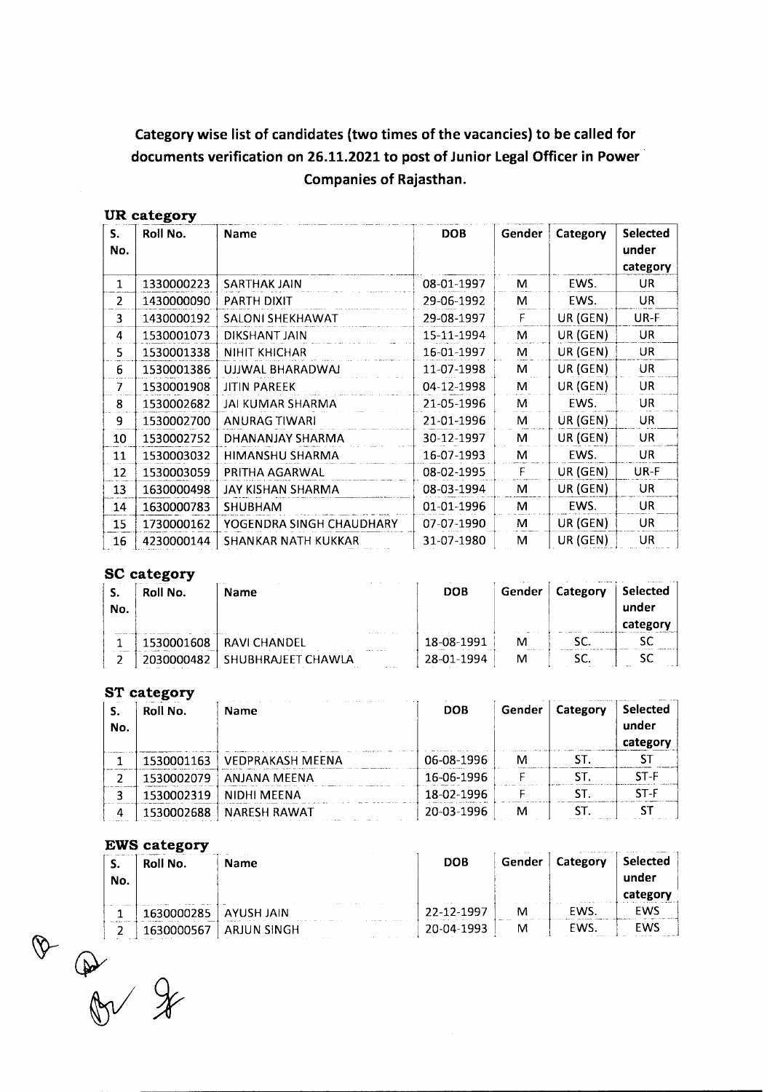# **Category wise list of candidates (two times of the vacancies) to be called for documents verification on 26.11.2021 to post of Junior Legal Officer in Power Companies of Rajasthan.**

### UR category

| UR category     |            |                            |            |        |          |                                      |  |
|-----------------|------------|----------------------------|------------|--------|----------|--------------------------------------|--|
| S.<br>No.       | Roll No.   | Name                       | <b>DOB</b> | Gender | Category | <b>Selected</b><br>under<br>category |  |
| 1               | 1330000223 | <b>SARTHAK JAIN</b>        | 08-01-1997 | M      | EWS.     | UR                                   |  |
| 2               | 1430000090 | PARTH DIXIT                | 29-06-1992 | м      | EWS.     | UR.                                  |  |
| 3               | 1430000192 | <b>SALONI SHEKHAWAT</b>    | 29-08-1997 | F      | UR (GEN) | UR-F                                 |  |
| 4               | 1530001073 | DIKSHANT JAIN              | 15-11-1994 | м      | UR (GEN) | UR.                                  |  |
| 5.              | 1530001338 | <b>NIHIT KHICHAR</b>       | 16-01-1997 | М      | UR (GEN) | <b>UR</b>                            |  |
| 6               | 1530001386 | UJJWAL BHARADWAJ           | 11-07-1998 | м      | UR (GEN) | UR.                                  |  |
| 7               | 1530001908 | <b>JITIN PAREEK</b>        | 04-12-1998 | м      | UR (GEN) | <b>UR</b>                            |  |
| 8               | 1530002682 | <b>JAI KUMAR SHARMA</b>    | 21-05-1996 | M      | EWS.     | <b>UR</b>                            |  |
| 9               | 1530002700 | <b>ANURAG TIWARI</b>       | 21-01-1996 | м      | UR (GEN) | UR.                                  |  |
| 10              | 1530002752 | DHANANJAY SHARMA           | 30-12-1997 | м      | UR (GEN) | <b>UR</b>                            |  |
| 11              | 1530003032 | <b>HIMANSHU SHARMA</b>     | 16-07-1993 | M      | EWS.     | <b>UR</b>                            |  |
| 12              | 1530003059 | PRITHA AGARWAL             | 08-02-1995 | F      | UR (GEN) | UR-F                                 |  |
| 13 <sup>2</sup> | 1630000498 | JAY KISHAN SHARMA          | 08-03-1994 | M      | UR (GEN) | <b>UR</b>                            |  |
| 14              | 1630000783 | <b>SHUBHAM</b>             | 01-01-1996 | M      | EWS.     | <b>UR</b>                            |  |
| 15              | 1730000162 | YOGENDRA SINGH CHAUDHARY   | 07-07-1990 | м      | UR (GEN) | UR                                   |  |
| 16              | 4230000144 | <b>SHANKAR NATH KUKKAR</b> | 31-07-1980 | м      | UR (GEN) | <b>UR</b>                            |  |

### **SC** category

| . .<br>No. | Roll No.   | Name                           | <b>DOB</b> | Gender | Category | Selected<br>under<br>categor |
|------------|------------|--------------------------------|------------|--------|----------|------------------------------|
|            | 1530001608 | RAVI CHANDEL                   | 18-08-1991 | M      |          |                              |
|            |            | SHURHRAIFFT CHAWLA<br>$\cdots$ | 28-01-1994 | M      |          |                              |

# **ST** category

| No. | Roll No.   | Name                    | <b>DOB</b> | Gender | Category | <b>Selected</b><br>under<br>category |
|-----|------------|-------------------------|------------|--------|----------|--------------------------------------|
|     | 1530001163 | <b>VEDPRAKASH MEENA</b> | 06-08-1996 | м      |          |                                      |
|     | 1530002079 | ANJANA MEENA            | 16-06-1996 |        |          | ST-F                                 |
|     | 1530002319 | <b>NIDHI MEENA</b>      | 18-02-1996 |        |          | $ST-F$                               |
| Δ   | 1530002688 | <b>NARESH RAWAT</b>     | 20-03-1996 | м      |          |                                      |

#### **EWS** category

| J.<br>No. | Roll No.   | <b>Name</b>             | <b>DOB</b>                                  | Gender | Category | - Selected<br>under<br>categor |
|-----------|------------|-------------------------|---------------------------------------------|--------|----------|--------------------------------|
|           | 1630000285 | AYUSH JAIN              | <b><i><u>ALCOHOL:</u></i></b><br>22-12-1997 | M      | EWS      | EWS                            |
| -         |            | ARJUN SINGH<br>ALC: YES | 20-04-1993                                  | M      | EWS.     | EWS                            |

0 2 1630000